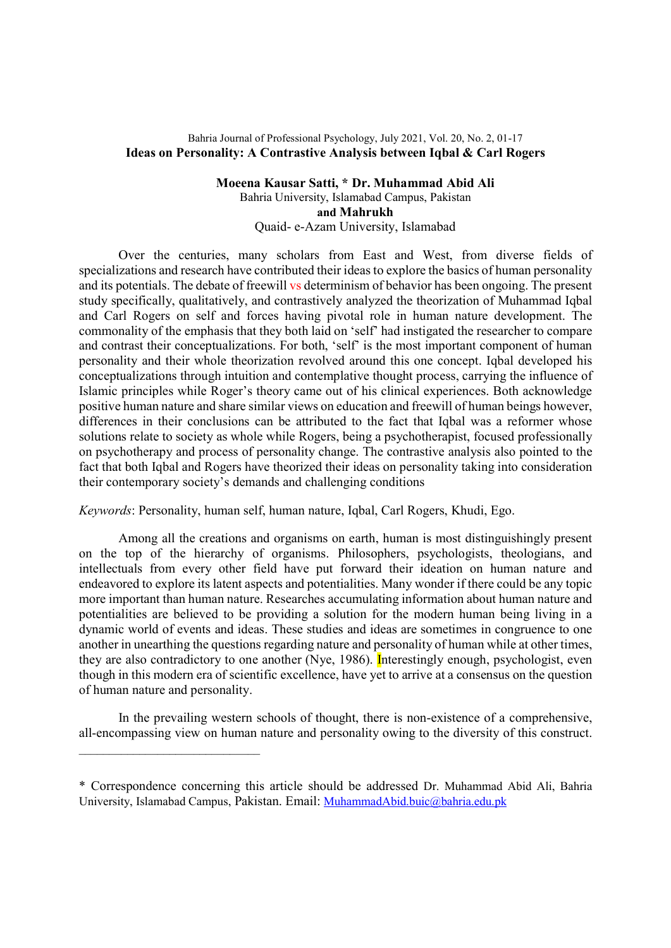# Bahria Journal of Professional Psychology, July 2021, Vol. 20, No. 2, 01-17 Ideas on Personality: A Contrastive Analysis between Iqbal & Carl Rogers

Moeena Kausar Satti, \* Dr. Muhammad Abid Ali Bahria University, Islamabad Campus, Pakistan and Mahrukh Quaid- e-Azam University, Islamabad

Over the centuries, many scholars from East and West, from diverse fields of specializations and research have contributed their ideas to explore the basics of human personality and its potentials. The debate of freewill vs determinism of behavior has been ongoing. The present study specifically, qualitatively, and contrastively analyzed the theorization of Muhammad Iqbal and Carl Rogers on self and forces having pivotal role in human nature development. The commonality of the emphasis that they both laid on 'self' had instigated the researcher to compare and contrast their conceptualizations. For both, 'self' is the most important component of human personality and their whole theorization revolved around this one concept. Iqbal developed his conceptualizations through intuition and contemplative thought process, carrying the influence of Islamic principles while Roger's theory came out of his clinical experiences. Both acknowledge positive human nature and share similar views on education and freewill of human beings however, differences in their conclusions can be attributed to the fact that Iqbal was a reformer whose solutions relate to society as whole while Rogers, being a psychotherapist, focused professionally on psychotherapy and process of personality change. The contrastive analysis also pointed to the fact that both Iqbal and Rogers have theorized their ideas on personality taking into consideration their contemporary society's demands and challenging conditions

Keywords: Personality, human self, human nature, Iqbal, Carl Rogers, Khudi, Ego.

Among all the creations and organisms on earth, human is most distinguishingly present on the top of the hierarchy of organisms. Philosophers, psychologists, theologians, and intellectuals from every other field have put forward their ideation on human nature and endeavored to explore its latent aspects and potentialities. Many wonder if there could be any topic more important than human nature. Researches accumulating information about human nature and potentialities are believed to be providing a solution for the modern human being living in a dynamic world of events and ideas. These studies and ideas are sometimes in congruence to one another in unearthing the questions regarding nature and personality of human while at other times, they are also contradictory to one another (Nye, 1986). Interestingly enough, psychologist, even though in this modern era of scientific excellence, have yet to arrive at a consensus on the question of human nature and personality.

In the prevailing western schools of thought, there is non-existence of a comprehensive, all-encompassing view on human nature and personality owing to the diversity of this construct.

<sup>\*</sup> Correspondence concerning this article should be addressed Dr. Muhammad Abid Ali, Bahria University, Islamabad Campus, Pakistan. Email: MuhammadAbid.buic@bahria.edu.pk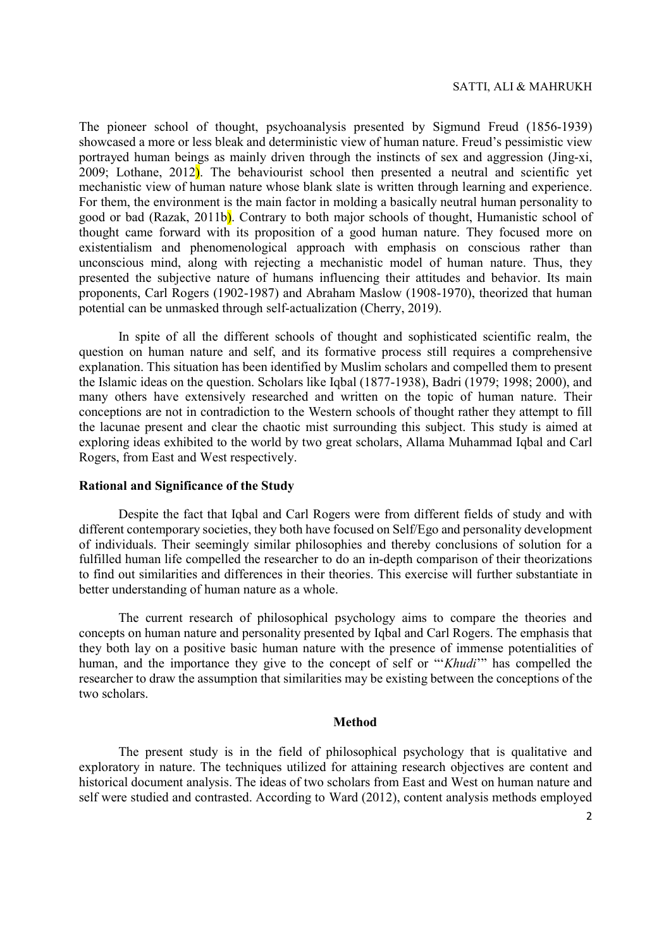#### SATTI, ALI & MAHRUKH

The pioneer school of thought, psychoanalysis presented by Sigmund Freud (1856-1939) showcased a more or less bleak and deterministic view of human nature. Freud's pessimistic view portrayed human beings as mainly driven through the instincts of sex and aggression (Jing-xi, 2009; Lothane, 2012). The behaviourist school then presented a neutral and scientific yet mechanistic view of human nature whose blank slate is written through learning and experience. For them, the environment is the main factor in molding a basically neutral human personality to good or bad (Razak, 2011b). Contrary to both major schools of thought, Humanistic school of thought came forward with its proposition of a good human nature. They focused more on existentialism and phenomenological approach with emphasis on conscious rather than unconscious mind, along with rejecting a mechanistic model of human nature. Thus, they presented the subjective nature of humans influencing their attitudes and behavior. Its main proponents, Carl Rogers (1902-1987) and Abraham Maslow (1908-1970), theorized that human potential can be unmasked through self-actualization (Cherry, 2019).

In spite of all the different schools of thought and sophisticated scientific realm, the question on human nature and self, and its formative process still requires a comprehensive explanation. This situation has been identified by Muslim scholars and compelled them to present the Islamic ideas on the question. Scholars like Iqbal (1877-1938), Badri (1979; 1998; 2000), and many others have extensively researched and written on the topic of human nature. Their conceptions are not in contradiction to the Western schools of thought rather they attempt to fill the lacunae present and clear the chaotic mist surrounding this subject. This study is aimed at exploring ideas exhibited to the world by two great scholars, Allama Muhammad Iqbal and Carl Rogers, from East and West respectively.

### Rational and Significance of the Study

Despite the fact that Iqbal and Carl Rogers were from different fields of study and with different contemporary societies, they both have focused on Self/Ego and personality development of individuals. Their seemingly similar philosophies and thereby conclusions of solution for a fulfilled human life compelled the researcher to do an in-depth comparison of their theorizations to find out similarities and differences in their theories. This exercise will further substantiate in better understanding of human nature as a whole.

The current research of philosophical psychology aims to compare the theories and concepts on human nature and personality presented by Iqbal and Carl Rogers. The emphasis that they both lay on a positive basic human nature with the presence of immense potentialities of human, and the importance they give to the concept of self or "'Khudi'" has compelled the researcher to draw the assumption that similarities may be existing between the conceptions of the two scholars.

#### Method

The present study is in the field of philosophical psychology that is qualitative and exploratory in nature. The techniques utilized for attaining research objectives are content and historical document analysis. The ideas of two scholars from East and West on human nature and self were studied and contrasted. According to Ward (2012), content analysis methods employed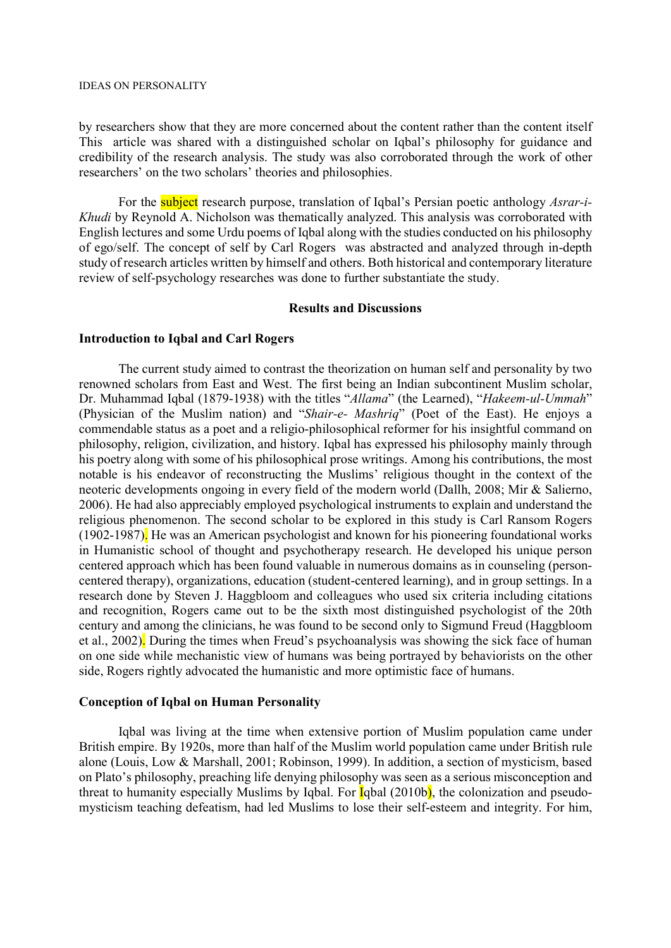#### IDEAS ON PERSONALITY

by researchers show that they are more concerned about the content rather than the content itself This article was shared with a distinguished scholar on Iqbal's philosophy for guidance and credibility of the research analysis. The study was also corroborated through the work of other researchers' on the two scholars' theories and philosophies.

For the **subject** research purpose, translation of Iqbal's Persian poetic anthology Asrar-i-Khudi by Reynold A. Nicholson was thematically analyzed. This analysis was corroborated with English lectures and some Urdu poems of Iqbal along with the studies conducted on his philosophy of ego/self. The concept of self by Carl Rogers was abstracted and analyzed through in-depth study of research articles written by himself and others. Both historical and contemporary literature review of self-psychology researches was done to further substantiate the study.

### Results and Discussions

# Introduction to Iqbal and Carl Rogers

The current study aimed to contrast the theorization on human self and personality by two renowned scholars from East and West. The first being an Indian subcontinent Muslim scholar, Dr. Muhammad Iqbal (1879-1938) with the titles "Allama" (the Learned), "Hakeem-ul-Ummah" (Physician of the Muslim nation) and "Shair-e- Mashriq" (Poet of the East). He enjoys a commendable status as a poet and a religio-philosophical reformer for his insightful command on philosophy, religion, civilization, and history. Iqbal has expressed his philosophy mainly through his poetry along with some of his philosophical prose writings. Among his contributions, the most notable is his endeavor of reconstructing the Muslims' religious thought in the context of the neoteric developments ongoing in every field of the modern world (Dallh, 2008; Mir & Salierno, 2006). He had also appreciably employed psychological instruments to explain and understand the religious phenomenon. The second scholar to be explored in this study is Carl Ransom Rogers (1902-1987). He was an American psychologist and known for his pioneering foundational works in Humanistic school of thought and psychotherapy research. He developed his unique person centered approach which has been found valuable in numerous domains as in counseling (personcentered therapy), organizations, education (student-centered learning), and in group settings. In a research done by Steven J. Haggbloom and colleagues who used six criteria including citations and recognition, Rogers came out to be the sixth most distinguished psychologist of the 20th century and among the clinicians, he was found to be second only to Sigmund Freud (Haggbloom et al., 2002). During the times when Freud's psychoanalysis was showing the sick face of human on one side while mechanistic view of humans was being portrayed by behaviorists on the other side, Rogers rightly advocated the humanistic and more optimistic face of humans.

# Conception of Iqbal on Human Personality

Iqbal was living at the time when extensive portion of Muslim population came under British empire. By 1920s, more than half of the Muslim world population came under British rule alone (Louis, Low & Marshall, 2001; Robinson, 1999). In addition, a section of mysticism, based on Plato's philosophy, preaching life denying philosophy was seen as a serious misconception and threat to humanity especially Muslims by Iqbal. For **I**qbal (2010b), the colonization and pseudomysticism teaching defeatism, had led Muslims to lose their self-esteem and integrity. For him,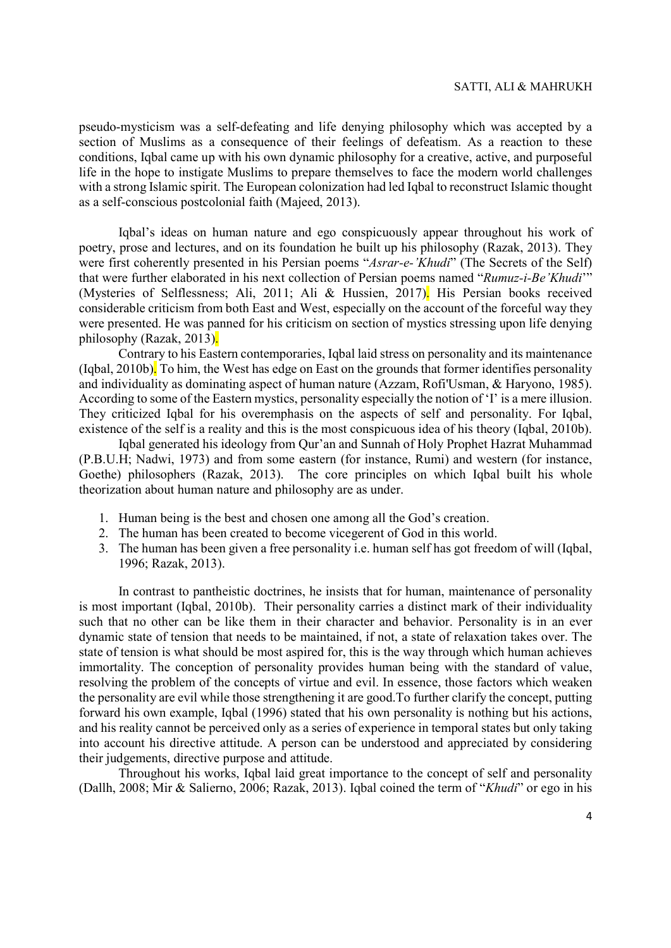pseudo-mysticism was a self-defeating and life denying philosophy which was accepted by a section of Muslims as a consequence of their feelings of defeatism. As a reaction to these conditions, Iqbal came up with his own dynamic philosophy for a creative, active, and purposeful life in the hope to instigate Muslims to prepare themselves to face the modern world challenges with a strong Islamic spirit. The European colonization had led Iqbal to reconstruct Islamic thought as a self-conscious postcolonial faith (Majeed, 2013).

Iqbal's ideas on human nature and ego conspicuously appear throughout his work of poetry, prose and lectures, and on its foundation he built up his philosophy (Razak, 2013). They were first coherently presented in his Persian poems "Asrar-e-'Khudi" (The Secrets of the Self) that were further elaborated in his next collection of Persian poems named "Rumuz-i-Be'Khudi" (Mysteries of Selflessness; Ali, 2011; Ali & Hussien, 2017). His Persian books received considerable criticism from both East and West, especially on the account of the forceful way they were presented. He was panned for his criticism on section of mystics stressing upon life denying philosophy (Razak, 2013).

Contrary to his Eastern contemporaries, Iqbal laid stress on personality and its maintenance (Iqbal, 2010b). To him, the West has edge on East on the grounds that former identifies personality and individuality as dominating aspect of human nature (Azzam, Rofi'Usman, & Haryono, 1985). According to some of the Eastern mystics, personality especially the notion of 'I' is a mere illusion. They criticized Iqbal for his overemphasis on the aspects of self and personality. For Iqbal, existence of the self is a reality and this is the most conspicuous idea of his theory (Iqbal, 2010b).

Iqbal generated his ideology from Qur'an and Sunnah of Holy Prophet Hazrat Muhammad (P.B.U.H; Nadwi, 1973) and from some eastern (for instance, Rumi) and western (for instance, Goethe) philosophers (Razak, 2013). The core principles on which Iqbal built his whole theorization about human nature and philosophy are as under.

- 1. Human being is the best and chosen one among all the God's creation.
- 2. The human has been created to become vicegerent of God in this world.
- 3. The human has been given a free personality i.e. human self has got freedom of will (Iqbal, 1996; Razak, 2013).

In contrast to pantheistic doctrines, he insists that for human, maintenance of personality is most important (Iqbal, 2010b). Their personality carries a distinct mark of their individuality such that no other can be like them in their character and behavior. Personality is in an ever dynamic state of tension that needs to be maintained, if not, a state of relaxation takes over. The state of tension is what should be most aspired for, this is the way through which human achieves immortality. The conception of personality provides human being with the standard of value, resolving the problem of the concepts of virtue and evil. In essence, those factors which weaken the personality are evil while those strengthening it are good.To further clarify the concept, putting forward his own example, Iqbal (1996) stated that his own personality is nothing but his actions, and his reality cannot be perceived only as a series of experience in temporal states but only taking into account his directive attitude. A person can be understood and appreciated by considering their judgements, directive purpose and attitude.

Throughout his works, Iqbal laid great importance to the concept of self and personality (Dallh, 2008; Mir & Salierno, 2006; Razak, 2013). Iqbal coined the term of "Khudi" or ego in his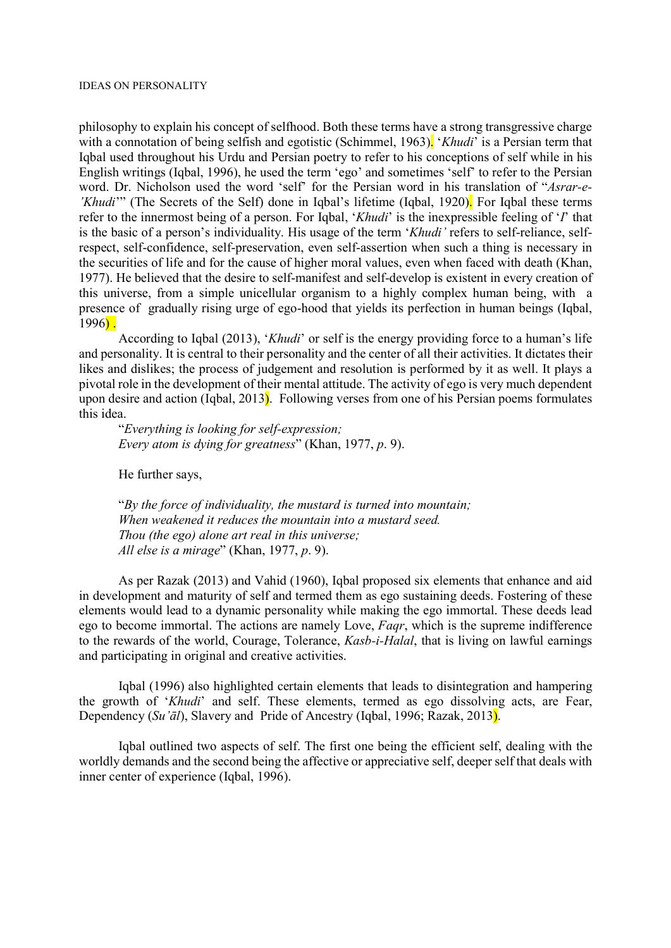philosophy to explain his concept of selfhood. Both these terms have a strong transgressive charge with a connotation of being selfish and egotistic (Schimmel, 1963). 'Khudi' is a Persian term that Iqbal used throughout his Urdu and Persian poetry to refer to his conceptions of self while in his English writings (Iqbal, 1996), he used the term 'ego' and sometimes 'self' to refer to the Persian word. Dr. Nicholson used the word 'self' for the Persian word in his translation of "Asrar-e-'Khudi'" (The Secrets of the Self) done in Iqbal's lifetime (Iqbal, 1920). For Iqbal these terms refer to the innermost being of a person. For Iqbal, 'Khudi' is the inexpressible feeling of 'I' that is the basic of a person's individuality. His usage of the term 'Khudi' refers to self-reliance, selfrespect, self-confidence, self-preservation, even self-assertion when such a thing is necessary in the securities of life and for the cause of higher moral values, even when faced with death (Khan, 1977). He believed that the desire to self-manifest and self-develop is existent in every creation of this universe, from a simple unicellular organism to a highly complex human being, with a presence of gradually rising urge of ego-hood that yields its perfection in human beings (Iqbal, 1996) .

According to Iqbal (2013), 'Khudi' or self is the energy providing force to a human's life and personality. It is central to their personality and the center of all their activities. It dictates their likes and dislikes; the process of judgement and resolution is performed by it as well. It plays a pivotal role in the development of their mental attitude. The activity of ego is very much dependent upon desire and action (Iqbal, 2013). Following verses from one of his Persian poems formulates this idea.

"Everything is looking for self-expression; Every atom is dying for greatness" (Khan, 1977, p. 9).

He further says,

"By the force of individuality, the mustard is turned into mountain; When weakened it reduces the mountain into a mustard seed. Thou (the ego) alone art real in this universe; All else is a mirage" (Khan, 1977, p. 9).

As per Razak (2013) and Vahid (1960), Iqbal proposed six elements that enhance and aid in development and maturity of self and termed them as ego sustaining deeds. Fostering of these elements would lead to a dynamic personality while making the ego immortal. These deeds lead ego to become immortal. The actions are namely Love, Faqr, which is the supreme indifference to the rewards of the world, Courage, Tolerance, Kasb-i-Halal, that is living on lawful earnings and participating in original and creative activities.

Iqbal (1996) also highlighted certain elements that leads to disintegration and hampering the growth of 'Khudi' and self. These elements, termed as ego dissolving acts, are Fear, Dependency (Su' $\bar{a}l$ ), Slavery and Pride of Ancestry (Iqbal, 1996; Razak, 2013).

Iqbal outlined two aspects of self. The first one being the efficient self, dealing with the worldly demands and the second being the affective or appreciative self, deeper self that deals with inner center of experience (Iqbal, 1996).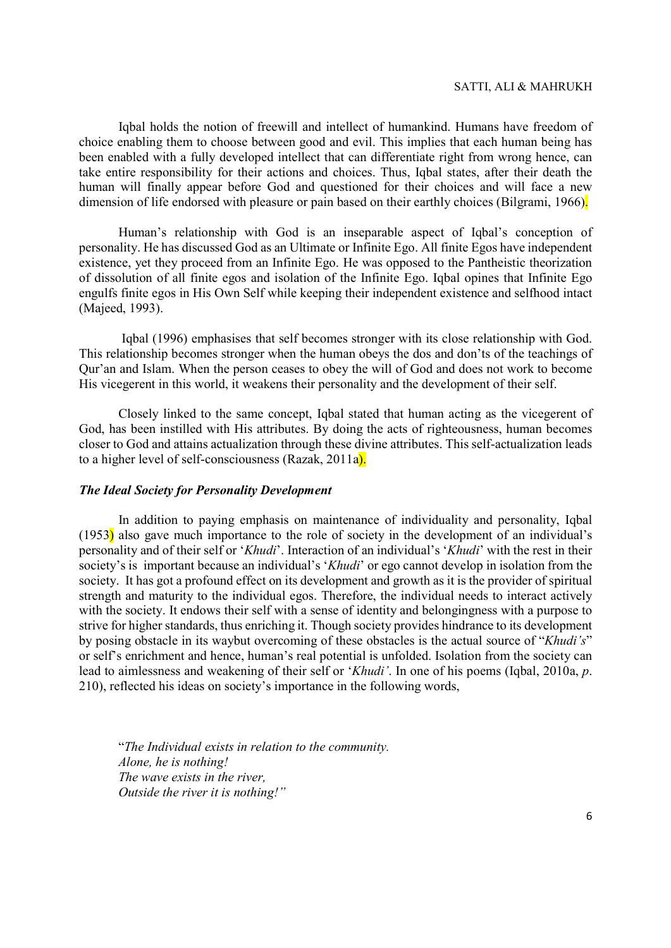Iqbal holds the notion of freewill and intellect of humankind. Humans have freedom of choice enabling them to choose between good and evil. This implies that each human being has been enabled with a fully developed intellect that can differentiate right from wrong hence, can take entire responsibility for their actions and choices. Thus, Iqbal states, after their death the human will finally appear before God and questioned for their choices and will face a new dimension of life endorsed with pleasure or pain based on their earthly choices (Bilgrami, 1966).

Human's relationship with God is an inseparable aspect of Iqbal's conception of personality. He has discussed God as an Ultimate or Infinite Ego. All finite Egos have independent existence, yet they proceed from an Infinite Ego. He was opposed to the Pantheistic theorization of dissolution of all finite egos and isolation of the Infinite Ego. Iqbal opines that Infinite Ego engulfs finite egos in His Own Self while keeping their independent existence and selfhood intact (Majeed, 1993).

 Iqbal (1996) emphasises that self becomes stronger with its close relationship with God. This relationship becomes stronger when the human obeys the dos and don'ts of the teachings of Qur'an and Islam. When the person ceases to obey the will of God and does not work to become His vicegerent in this world, it weakens their personality and the development of their self.

Closely linked to the same concept, Iqbal stated that human acting as the vicegerent of God, has been instilled with His attributes. By doing the acts of righteousness, human becomes closer to God and attains actualization through these divine attributes. This self-actualization leads to a higher level of self-consciousness (Razak, 2011a).

# The Ideal Society for Personality Development

In addition to paying emphasis on maintenance of individuality and personality, Iqbal (1953) also gave much importance to the role of society in the development of an individual's personality and of their self or 'Khudi'. Interaction of an individual's 'Khudi' with the rest in their society's is important because an individual's 'Khudi' or ego cannot develop in isolation from the society. It has got a profound effect on its development and growth as it is the provider of spiritual strength and maturity to the individual egos. Therefore, the individual needs to interact actively with the society. It endows their self with a sense of identity and belongingness with a purpose to strive for higher standards, thus enriching it. Though society provides hindrance to its development by posing obstacle in its waybut overcoming of these obstacles is the actual source of "Khudi's" or self's enrichment and hence, human's real potential is unfolded. Isolation from the society can lead to aimlessness and weakening of their self or 'Khudi'. In one of his poems (Iqbal, 2010a, p. 210), reflected his ideas on society's importance in the following words,

"The Individual exists in relation to the community. Alone, he is nothing! The wave exists in the river, Outside the river it is nothing!"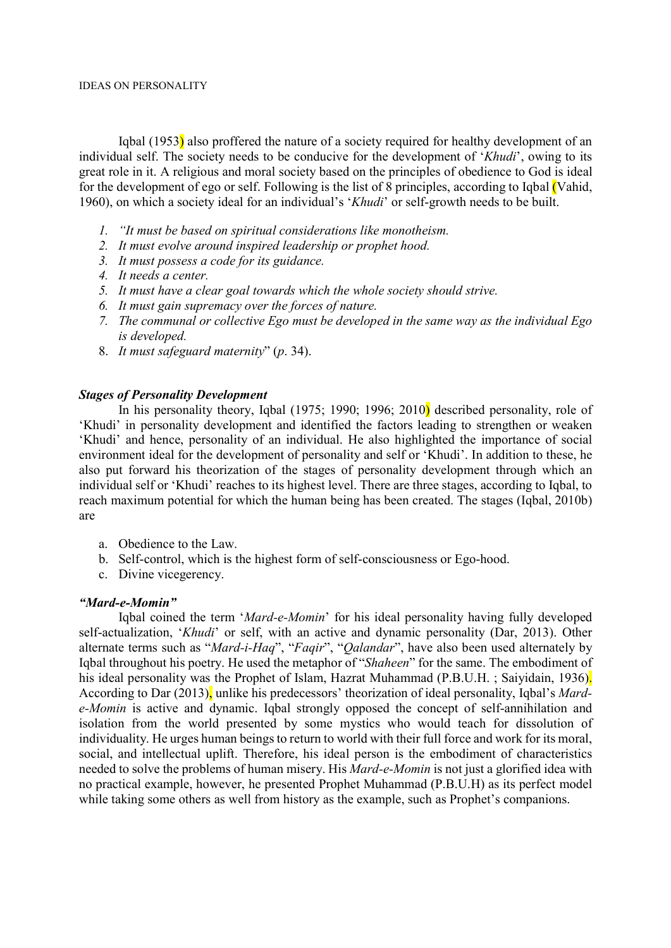#### IDEAS ON PERSONALITY

Iqbal (1953) also proffered the nature of a society required for healthy development of an individual self. The society needs to be conducive for the development of 'Khudi', owing to its great role in it. A religious and moral society based on the principles of obedience to God is ideal for the development of ego or self. Following is the list of 8 principles, according to Iqbal (Vahid, 1960), on which a society ideal for an individual's 'Khudi' or self-growth needs to be built.

- 1. "It must be based on spiritual considerations like monotheism.
- 2. It must evolve around inspired leadership or prophet hood.
- 3. It must possess a code for its guidance.
- 4. It needs a center.
- 5. It must have a clear goal towards which the whole society should strive.
- 6. It must gain supremacy over the forces of nature.
- 7. The communal or collective Ego must be developed in the same way as the individual Ego is developed.
- 8. It must safeguard maternity" (p. 34).

# Stages of Personality Development

In his personality theory, Iqbal (1975; 1990; 1996; 2010) described personality, role of 'Khudi' in personality development and identified the factors leading to strengthen or weaken 'Khudi' and hence, personality of an individual. He also highlighted the importance of social environment ideal for the development of personality and self or 'Khudi'. In addition to these, he also put forward his theorization of the stages of personality development through which an individual self or 'Khudi' reaches to its highest level. There are three stages, according to Iqbal, to reach maximum potential for which the human being has been created. The stages (Iqbal, 2010b) are

- a. Obedience to the Law.
- b. Self-control, which is the highest form of self-consciousness or Ego-hood.
- c. Divine vicegerency.

# "Mard-e-Momin"

Iqbal coined the term 'Mard-e-Momin' for his ideal personality having fully developed self-actualization, 'Khudi' or self, with an active and dynamic personality (Dar, 2013). Other alternate terms such as "Mard-i-Haq", "Faqir", "Qalandar", have also been used alternately by Iqbal throughout his poetry. He used the metaphor of "Shaheen" for the same. The embodiment of his ideal personality was the Prophet of Islam, Hazrat Muhammad (P.B.U.H.; Saiyidain, 1936). According to Dar (2013), unlike his predecessors' theorization of ideal personality, Iqbal's Marde-Momin is active and dynamic. Iqbal strongly opposed the concept of self-annihilation and isolation from the world presented by some mystics who would teach for dissolution of individuality. He urges human beings to return to world with their full force and work for its moral, social, and intellectual uplift. Therefore, his ideal person is the embodiment of characteristics needed to solve the problems of human misery. His Mard-e-Momin is not just a glorified idea with no practical example, however, he presented Prophet Muhammad (P.B.U.H) as its perfect model while taking some others as well from history as the example, such as Prophet's companions.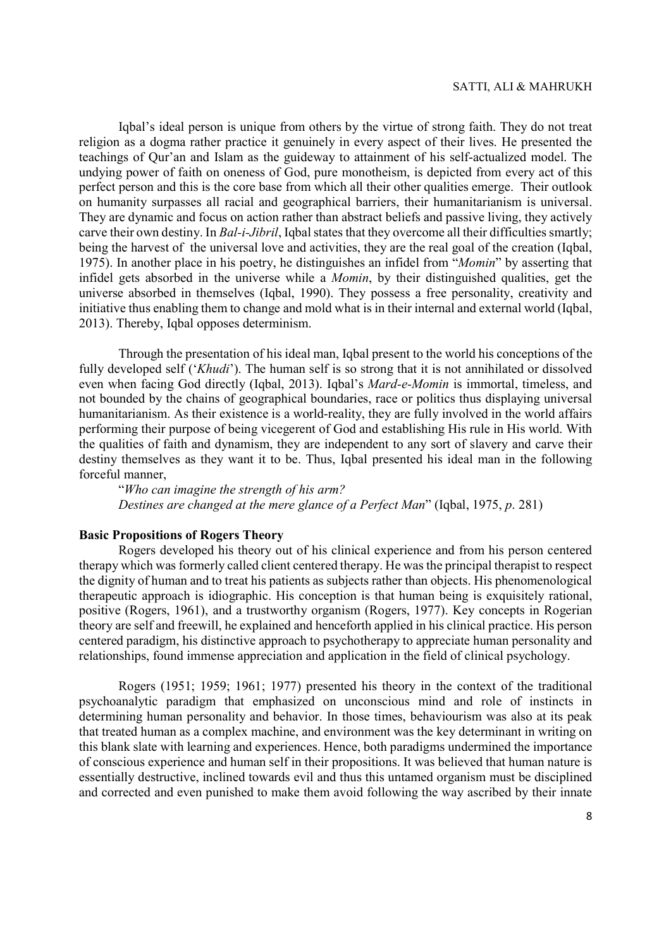Iqbal's ideal person is unique from others by the virtue of strong faith. They do not treat religion as a dogma rather practice it genuinely in every aspect of their lives. He presented the teachings of Qur'an and Islam as the guideway to attainment of his self-actualized model. The undying power of faith on oneness of God, pure monotheism, is depicted from every act of this perfect person and this is the core base from which all their other qualities emerge. Their outlook on humanity surpasses all racial and geographical barriers, their humanitarianism is universal. They are dynamic and focus on action rather than abstract beliefs and passive living, they actively carve their own destiny. In Bal-i-Jibril, Iqbal states that they overcome all their difficulties smartly; being the harvest of the universal love and activities, they are the real goal of the creation (Iqbal, 1975). In another place in his poetry, he distinguishes an infidel from "Momin" by asserting that infidel gets absorbed in the universe while a Momin, by their distinguished qualities, get the universe absorbed in themselves (Iqbal, 1990). They possess a free personality, creativity and initiative thus enabling them to change and mold what is in their internal and external world (Iqbal, 2013). Thereby, Iqbal opposes determinism.

Through the presentation of his ideal man, Iqbal present to the world his conceptions of the fully developed self ('Khudi'). The human self is so strong that it is not annihilated or dissolved even when facing God directly (Iqbal, 2013). Iqbal's Mard-e-Momin is immortal, timeless, and not bounded by the chains of geographical boundaries, race or politics thus displaying universal humanitarianism. As their existence is a world-reality, they are fully involved in the world affairs performing their purpose of being vicegerent of God and establishing His rule in His world. With the qualities of faith and dynamism, they are independent to any sort of slavery and carve their destiny themselves as they want it to be. Thus, Iqbal presented his ideal man in the following forceful manner,

"Who can imagine the strength of his arm? Destines are changed at the mere glance of a Perfect Man" (Iqbal, 1975, p. 281)

### Basic Propositions of Rogers Theory

Rogers developed his theory out of his clinical experience and from his person centered therapy which was formerly called client centered therapy. He was the principal therapist to respect the dignity of human and to treat his patients as subjects rather than objects. His phenomenological therapeutic approach is idiographic. His conception is that human being is exquisitely rational, positive (Rogers, 1961), and a trustworthy organism (Rogers, 1977). Key concepts in Rogerian theory are self and freewill, he explained and henceforth applied in his clinical practice. His person centered paradigm, his distinctive approach to psychotherapy to appreciate human personality and relationships, found immense appreciation and application in the field of clinical psychology.

Rogers (1951; 1959; 1961; 1977) presented his theory in the context of the traditional psychoanalytic paradigm that emphasized on unconscious mind and role of instincts in determining human personality and behavior. In those times, behaviourism was also at its peak that treated human as a complex machine, and environment was the key determinant in writing on this blank slate with learning and experiences. Hence, both paradigms undermined the importance of conscious experience and human self in their propositions. It was believed that human nature is essentially destructive, inclined towards evil and thus this untamed organism must be disciplined and corrected and even punished to make them avoid following the way ascribed by their innate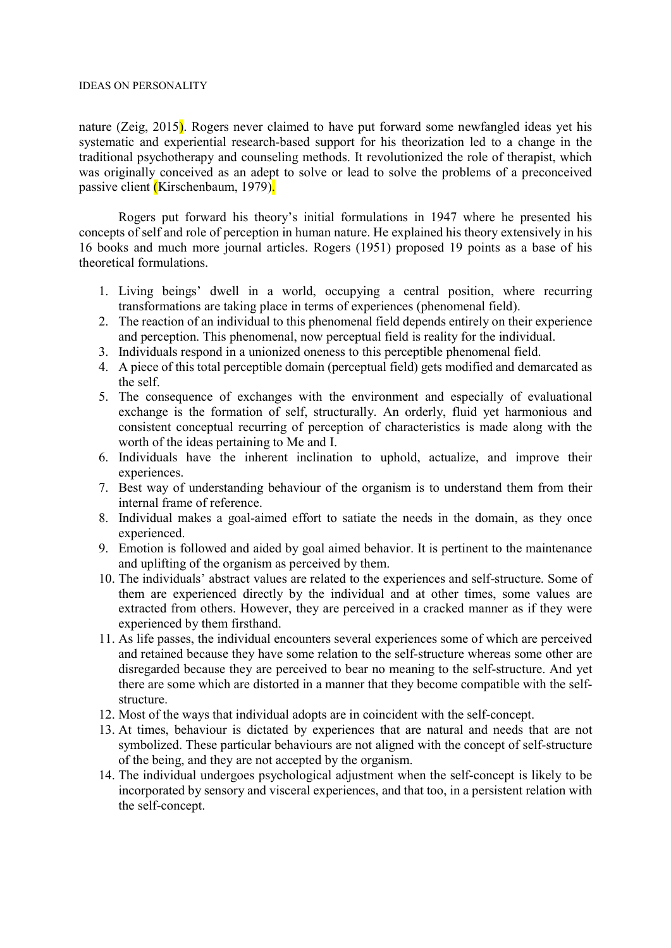#### IDEAS ON PERSONALITY

nature (Zeig, 2015). Rogers never claimed to have put forward some newfangled ideas yet his systematic and experiential research-based support for his theorization led to a change in the traditional psychotherapy and counseling methods. It revolutionized the role of therapist, which was originally conceived as an adept to solve or lead to solve the problems of a preconceived passive client (Kirschenbaum, 1979).

Rogers put forward his theory's initial formulations in 1947 where he presented his concepts of self and role of perception in human nature. He explained his theory extensively in his 16 books and much more journal articles. Rogers (1951) proposed 19 points as a base of his theoretical formulations.

- 1. Living beings' dwell in a world, occupying a central position, where recurring transformations are taking place in terms of experiences (phenomenal field).
- 2. The reaction of an individual to this phenomenal field depends entirely on their experience and perception. This phenomenal, now perceptual field is reality for the individual.
- 3. Individuals respond in a unionized oneness to this perceptible phenomenal field.
- 4. A piece of this total perceptible domain (perceptual field) gets modified and demarcated as the self.
- 5. The consequence of exchanges with the environment and especially of evaluational exchange is the formation of self, structurally. An orderly, fluid yet harmonious and consistent conceptual recurring of perception of characteristics is made along with the worth of the ideas pertaining to Me and I.
- 6. Individuals have the inherent inclination to uphold, actualize, and improve their experiences.
- 7. Best way of understanding behaviour of the organism is to understand them from their internal frame of reference.
- 8. Individual makes a goal-aimed effort to satiate the needs in the domain, as they once experienced.
- 9. Emotion is followed and aided by goal aimed behavior. It is pertinent to the maintenance and uplifting of the organism as perceived by them.
- 10. The individuals' abstract values are related to the experiences and self-structure. Some of them are experienced directly by the individual and at other times, some values are extracted from others. However, they are perceived in a cracked manner as if they were experienced by them firsthand.
- 11. As life passes, the individual encounters several experiences some of which are perceived and retained because they have some relation to the self-structure whereas some other are disregarded because they are perceived to bear no meaning to the self-structure. And yet there are some which are distorted in a manner that they become compatible with the selfstructure.
- 12. Most of the ways that individual adopts are in coincident with the self-concept.
- 13. At times, behaviour is dictated by experiences that are natural and needs that are not symbolized. These particular behaviours are not aligned with the concept of self-structure of the being, and they are not accepted by the organism.
- 14. The individual undergoes psychological adjustment when the self-concept is likely to be incorporated by sensory and visceral experiences, and that too, in a persistent relation with the self-concept.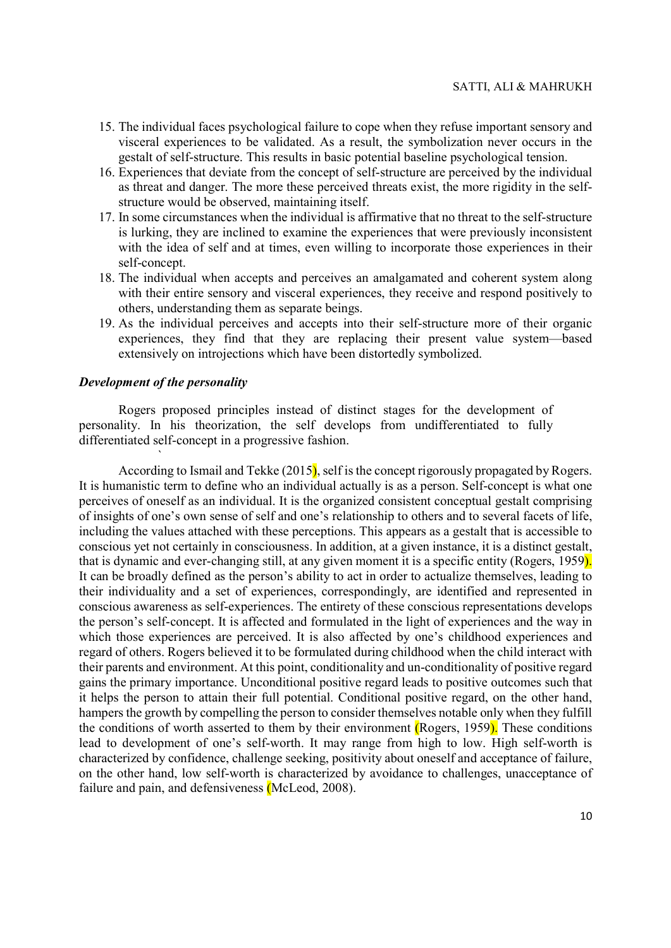- 15. The individual faces psychological failure to cope when they refuse important sensory and visceral experiences to be validated. As a result, the symbolization never occurs in the gestalt of self-structure. This results in basic potential baseline psychological tension.
- 16. Experiences that deviate from the concept of self-structure are perceived by the individual as threat and danger. The more these perceived threats exist, the more rigidity in the selfstructure would be observed, maintaining itself.
- 17. In some circumstances when the individual is affirmative that no threat to the self-structure is lurking, they are inclined to examine the experiences that were previously inconsistent with the idea of self and at times, even willing to incorporate those experiences in their self-concept.
- 18. The individual when accepts and perceives an amalgamated and coherent system along with their entire sensory and visceral experiences, they receive and respond positively to others, understanding them as separate beings.
- 19. As the individual perceives and accepts into their self-structure more of their organic experiences, they find that they are replacing their present value system—based extensively on introjections which have been distortedly symbolized.

#### Development of the personality

 $\mathcal{L} = \mathcal{L} \mathcal{L}$ 

Rogers proposed principles instead of distinct stages for the development of personality. In his theorization, the self develops from undifferentiated to fully differentiated self-concept in a progressive fashion.

According to Ismail and Tekke  $(2015)$ , self is the concept rigorously propagated by Rogers. It is humanistic term to define who an individual actually is as a person. Self-concept is what one perceives of oneself as an individual. It is the organized consistent conceptual gestalt comprising of insights of one's own sense of self and one's relationship to others and to several facets of life, including the values attached with these perceptions. This appears as a gestalt that is accessible to conscious yet not certainly in consciousness. In addition, at a given instance, it is a distinct gestalt, that is dynamic and ever-changing still, at any given moment it is a specific entity (Rogers, 1959). It can be broadly defined as the person's ability to act in order to actualize themselves, leading to their individuality and a set of experiences, correspondingly, are identified and represented in conscious awareness as self-experiences. The entirety of these conscious representations develops the person's self-concept. It is affected and formulated in the light of experiences and the way in which those experiences are perceived. It is also affected by one's childhood experiences and regard of others. Rogers believed it to be formulated during childhood when the child interact with their parents and environment. At this point, conditionality and un-conditionality of positive regard gains the primary importance. Unconditional positive regard leads to positive outcomes such that it helps the person to attain their full potential. Conditional positive regard, on the other hand, hampers the growth by compelling the person to consider themselves notable only when they fulfill the conditions of worth asserted to them by their environment (Rogers, 1959). These conditions lead to development of one's self-worth. It may range from high to low. High self-worth is characterized by confidence, challenge seeking, positivity about oneself and acceptance of failure, on the other hand, low self-worth is characterized by avoidance to challenges, unacceptance of failure and pain, and defensiveness (McLeod, 2008).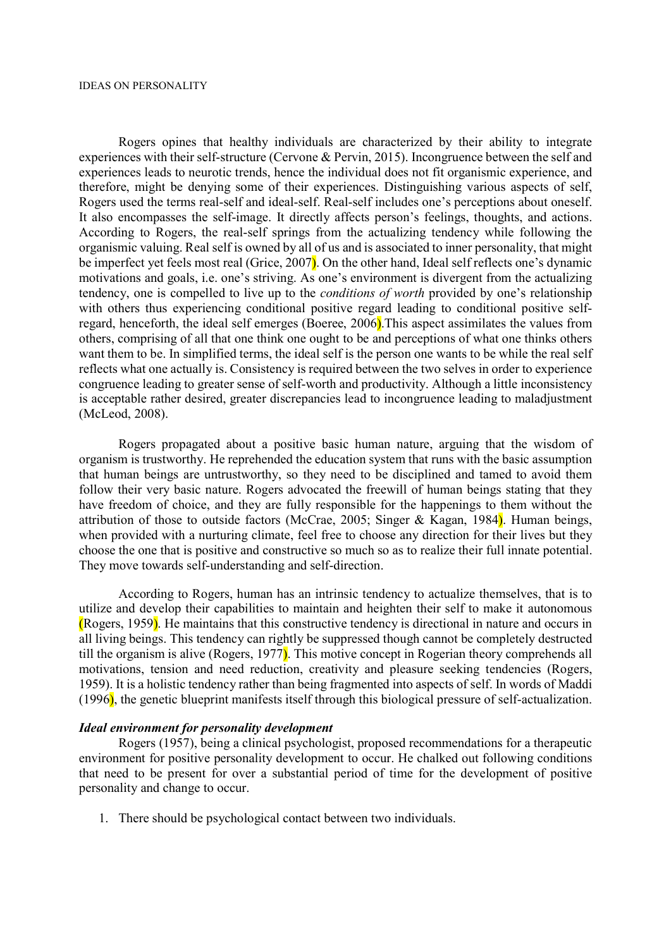Rogers opines that healthy individuals are characterized by their ability to integrate experiences with their self-structure (Cervone & Pervin, 2015). Incongruence between the self and experiences leads to neurotic trends, hence the individual does not fit organismic experience, and therefore, might be denying some of their experiences. Distinguishing various aspects of self, Rogers used the terms real-self and ideal-self. Real-self includes one's perceptions about oneself. It also encompasses the self-image. It directly affects person's feelings, thoughts, and actions. According to Rogers, the real-self springs from the actualizing tendency while following the organismic valuing. Real self is owned by all of us and is associated to inner personality, that might be imperfect yet feels most real (Grice, 2007). On the other hand, Ideal self reflects one's dynamic motivations and goals, i.e. one's striving. As one's environment is divergent from the actualizing tendency, one is compelled to live up to the *conditions of worth* provided by one's relationship with others thus experiencing conditional positive regard leading to conditional positive selfregard, henceforth, the ideal self emerges (Boeree, 2006).This aspect assimilates the values from others, comprising of all that one think one ought to be and perceptions of what one thinks others want them to be. In simplified terms, the ideal self is the person one wants to be while the real self reflects what one actually is. Consistency is required between the two selves in order to experience congruence leading to greater sense of self-worth and productivity. Although a little inconsistency is acceptable rather desired, greater discrepancies lead to incongruence leading to maladjustment (McLeod, 2008).

Rogers propagated about a positive basic human nature, arguing that the wisdom of organism is trustworthy. He reprehended the education system that runs with the basic assumption that human beings are untrustworthy, so they need to be disciplined and tamed to avoid them follow their very basic nature. Rogers advocated the freewill of human beings stating that they have freedom of choice, and they are fully responsible for the happenings to them without the attribution of those to outside factors (McCrae, 2005; Singer & Kagan, 1984). Human beings, when provided with a nurturing climate, feel free to choose any direction for their lives but they choose the one that is positive and constructive so much so as to realize their full innate potential. They move towards self-understanding and self-direction.

According to Rogers, human has an intrinsic tendency to actualize themselves, that is to utilize and develop their capabilities to maintain and heighten their self to make it autonomous (Rogers, 1959). He maintains that this constructive tendency is directional in nature and occurs in all living beings. This tendency can rightly be suppressed though cannot be completely destructed till the organism is alive (Rogers, 1977). This motive concept in Rogerian theory comprehends all motivations, tension and need reduction, creativity and pleasure seeking tendencies (Rogers, 1959). It is a holistic tendency rather than being fragmented into aspects of self. In words of Maddi (1996), the genetic blueprint manifests itself through this biological pressure of self-actualization.

#### Ideal environment for personality development

Rogers (1957), being a clinical psychologist, proposed recommendations for a therapeutic environment for positive personality development to occur. He chalked out following conditions that need to be present for over a substantial period of time for the development of positive personality and change to occur.

1. There should be psychological contact between two individuals.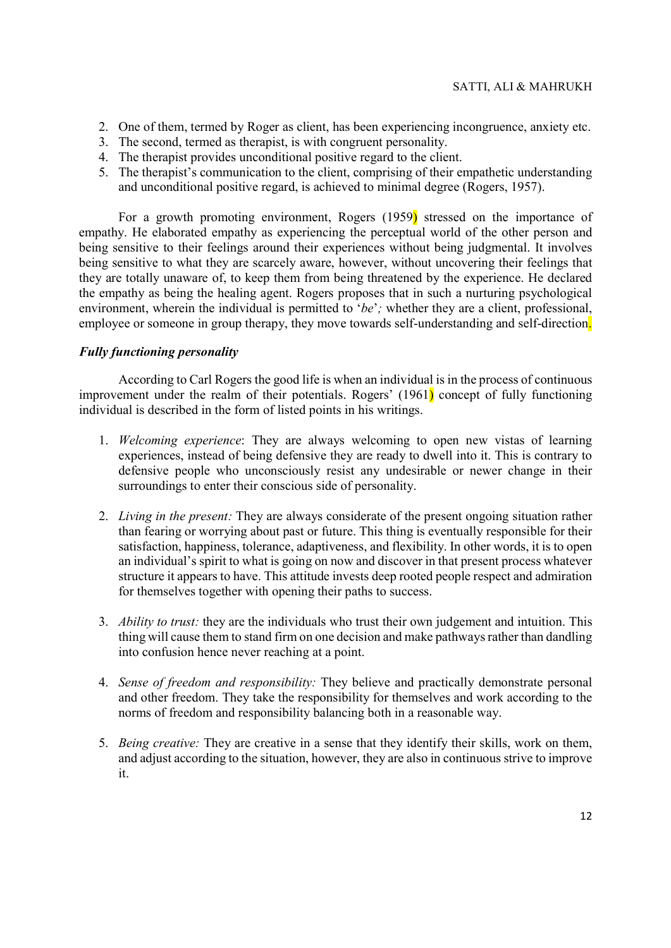- 2. One of them, termed by Roger as client, has been experiencing incongruence, anxiety etc.
- 3. The second, termed as therapist, is with congruent personality.
- 4. The therapist provides unconditional positive regard to the client.
- 5. The therapist's communication to the client, comprising of their empathetic understanding and unconditional positive regard, is achieved to minimal degree (Rogers, 1957).

For a growth promoting environment, Rogers (1959) stressed on the importance of empathy. He elaborated empathy as experiencing the perceptual world of the other person and being sensitive to their feelings around their experiences without being judgmental. It involves being sensitive to what they are scarcely aware, however, without uncovering their feelings that they are totally unaware of, to keep them from being threatened by the experience. He declared the empathy as being the healing agent. Rogers proposes that in such a nurturing psychological environment, wherein the individual is permitted to 'be'; whether they are a client, professional, employee or someone in group therapy, they move towards self-understanding and self-direction.

# Fully functioning personality

According to Carl Rogers the good life is when an individual is in the process of continuous improvement under the realm of their potentials. Rogers' (1961) concept of fully functioning individual is described in the form of listed points in his writings.

- 1. Welcoming experience: They are always welcoming to open new vistas of learning experiences, instead of being defensive they are ready to dwell into it. This is contrary to defensive people who unconsciously resist any undesirable or newer change in their surroundings to enter their conscious side of personality.
- 2. Living in the present: They are always considerate of the present ongoing situation rather than fearing or worrying about past or future. This thing is eventually responsible for their satisfaction, happiness, tolerance, adaptiveness, and flexibility. In other words, it is to open an individual's spirit to what is going on now and discover in that present process whatever structure it appears to have. This attitude invests deep rooted people respect and admiration for themselves together with opening their paths to success.
- 3. *Ability to trust:* they are the individuals who trust their own judgement and intuition. This thing will cause them to stand firm on one decision and make pathways rather than dandling into confusion hence never reaching at a point.
- 4. Sense of freedom and responsibility: They believe and practically demonstrate personal and other freedom. They take the responsibility for themselves and work according to the norms of freedom and responsibility balancing both in a reasonable way.
- 5. Being creative: They are creative in a sense that they identify their skills, work on them, and adjust according to the situation, however, they are also in continuous strive to improve it.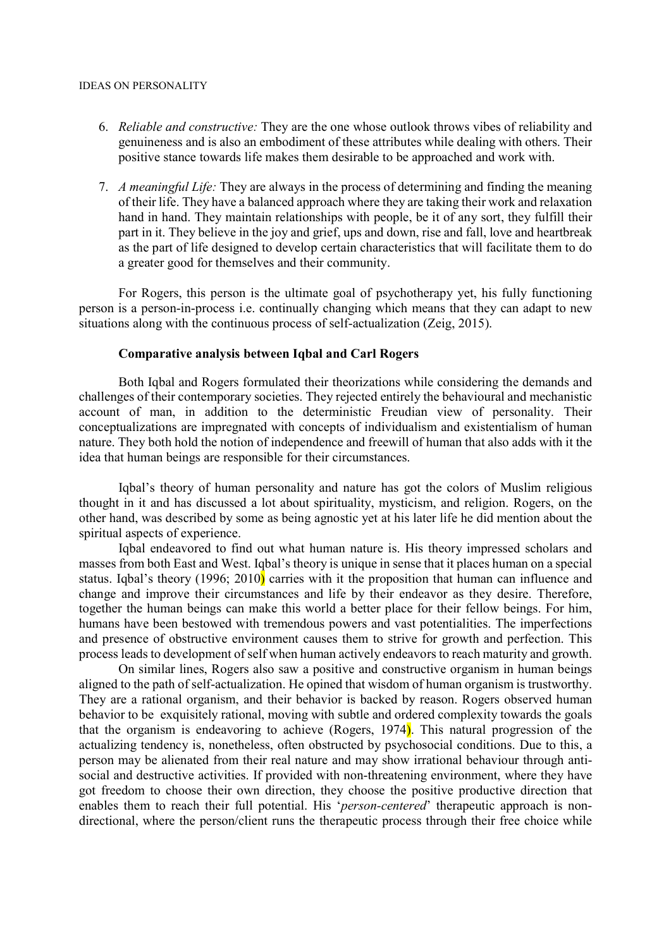- 6. Reliable and constructive: They are the one whose outlook throws vibes of reliability and genuineness and is also an embodiment of these attributes while dealing with others. Their positive stance towards life makes them desirable to be approached and work with.
- 7. A meaningful Life: They are always in the process of determining and finding the meaning of their life. They have a balanced approach where they are taking their work and relaxation hand in hand. They maintain relationships with people, be it of any sort, they fulfill their part in it. They believe in the joy and grief, ups and down, rise and fall, love and heartbreak as the part of life designed to develop certain characteristics that will facilitate them to do a greater good for themselves and their community.

For Rogers, this person is the ultimate goal of psychotherapy yet, his fully functioning person is a person-in-process i.e. continually changing which means that they can adapt to new situations along with the continuous process of self-actualization (Zeig, 2015).

# Comparative analysis between Iqbal and Carl Rogers

Both Iqbal and Rogers formulated their theorizations while considering the demands and challenges of their contemporary societies. They rejected entirely the behavioural and mechanistic account of man, in addition to the deterministic Freudian view of personality. Their conceptualizations are impregnated with concepts of individualism and existentialism of human nature. They both hold the notion of independence and freewill of human that also adds with it the idea that human beings are responsible for their circumstances.

Iqbal's theory of human personality and nature has got the colors of Muslim religious thought in it and has discussed a lot about spirituality, mysticism, and religion. Rogers, on the other hand, was described by some as being agnostic yet at his later life he did mention about the spiritual aspects of experience.

Iqbal endeavored to find out what human nature is. His theory impressed scholars and masses from both East and West. Iqbal's theory is unique in sense that it places human on a special status. Igbal's theory (1996; 2010) carries with it the proposition that human can influence and change and improve their circumstances and life by their endeavor as they desire. Therefore, together the human beings can make this world a better place for their fellow beings. For him, humans have been bestowed with tremendous powers and vast potentialities. The imperfections and presence of obstructive environment causes them to strive for growth and perfection. This process leads to development of self when human actively endeavors to reach maturity and growth.

On similar lines, Rogers also saw a positive and constructive organism in human beings aligned to the path of self-actualization. He opined that wisdom of human organism is trustworthy. They are a rational organism, and their behavior is backed by reason. Rogers observed human behavior to be exquisitely rational, moving with subtle and ordered complexity towards the goals that the organism is endeavoring to achieve (Rogers, 1974). This natural progression of the actualizing tendency is, nonetheless, often obstructed by psychosocial conditions. Due to this, a person may be alienated from their real nature and may show irrational behaviour through antisocial and destructive activities. If provided with non-threatening environment, where they have got freedom to choose their own direction, they choose the positive productive direction that enables them to reach their full potential. His 'person-centered' therapeutic approach is nondirectional, where the person/client runs the therapeutic process through their free choice while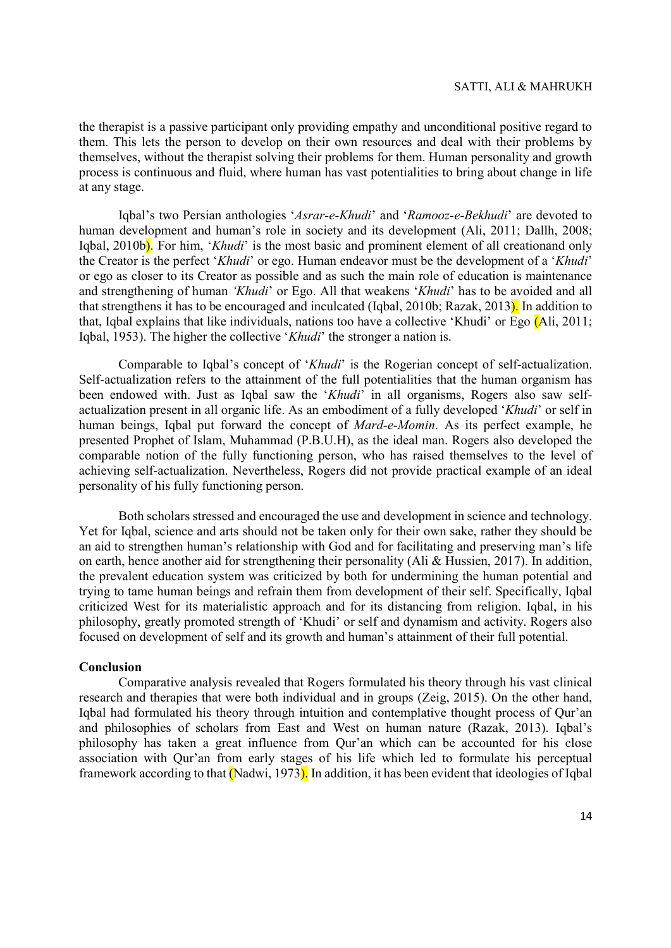the therapist is a passive participant only providing empathy and unconditional positive regard to them. This lets the person to develop on their own resources and deal with their problems by themselves, without the therapist solving their problems for them. Human personality and growth process is continuous and fluid, where human has vast potentialities to bring about change in life at any stage.

Iqbal's two Persian anthologies 'Asrar-e-Khudi' and 'Ramooz-e-Bekhudi' are devoted to human development and human's role in society and its development (Ali, 2011; Dallh, 2008; Iqbal, 2010b). For him, 'Khudi' is the most basic and prominent element of all creationand only the Creator is the perfect 'Khudi' or ego. Human endeavor must be the development of a 'Khudi' or ego as closer to its Creator as possible and as such the main role of education is maintenance and strengthening of human 'Khudi' or Ego. All that weakens 'Khudi' has to be avoided and all that strengthens it has to be encouraged and inculcated (Iqbal, 2010b; Razak, 2013). In addition to that, Iqbal explains that like individuals, nations too have a collective 'Khudi' or Ego (Ali, 2011; Iqbal, 1953). The higher the collective 'Khudi' the stronger a nation is.

Comparable to Iqbal's concept of 'Khudi' is the Rogerian concept of self-actualization. Self-actualization refers to the attainment of the full potentialities that the human organism has been endowed with. Just as Iqbal saw the 'Khudi' in all organisms, Rogers also saw selfactualization present in all organic life. As an embodiment of a fully developed 'Khudi' or self in human beings, Iqbal put forward the concept of Mard-e-Momin. As its perfect example, he presented Prophet of Islam, Muhammad (P.B.U.H), as the ideal man. Rogers also developed the comparable notion of the fully functioning person, who has raised themselves to the level of achieving self-actualization. Nevertheless, Rogers did not provide practical example of an ideal personality of his fully functioning person.

Both scholars stressed and encouraged the use and development in science and technology. Yet for Iqbal, science and arts should not be taken only for their own sake, rather they should be an aid to strengthen human's relationship with God and for facilitating and preserving man's life on earth, hence another aid for strengthening their personality (Ali & Hussien, 2017). In addition, the prevalent education system was criticized by both for undermining the human potential and trying to tame human beings and refrain them from development of their self. Specifically, Iqbal criticized West for its materialistic approach and for its distancing from religion. Iqbal, in his philosophy, greatly promoted strength of 'Khudi' or self and dynamism and activity. Rogers also focused on development of self and its growth and human's attainment of their full potential.

### Conclusion

Comparative analysis revealed that Rogers formulated his theory through his vast clinical research and therapies that were both individual and in groups (Zeig, 2015). On the other hand, Iqbal had formulated his theory through intuition and contemplative thought process of Qur'an and philosophies of scholars from East and West on human nature (Razak, 2013). Iqbal's philosophy has taken a great influence from Qur'an which can be accounted for his close association with Qur'an from early stages of his life which led to formulate his perceptual framework according to that  $(Na_i, 1973)$ . In addition, it has been evident that ideologies of Iqbal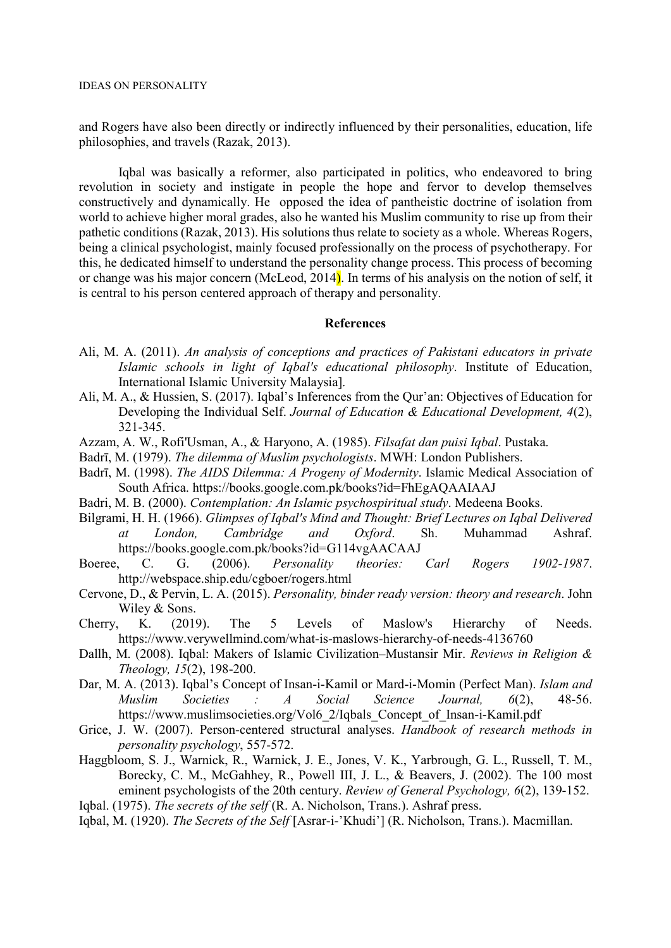and Rogers have also been directly or indirectly influenced by their personalities, education, life philosophies, and travels (Razak, 2013).

Iqbal was basically a reformer, also participated in politics, who endeavored to bring revolution in society and instigate in people the hope and fervor to develop themselves constructively and dynamically. He opposed the idea of pantheistic doctrine of isolation from world to achieve higher moral grades, also he wanted his Muslim community to rise up from their pathetic conditions (Razak, 2013). His solutions thus relate to society as a whole. Whereas Rogers, being a clinical psychologist, mainly focused professionally on the process of psychotherapy. For this, he dedicated himself to understand the personality change process. This process of becoming or change was his major concern (McLeod, 2014). In terms of his analysis on the notion of self, it is central to his person centered approach of therapy and personality.

### References

- Ali, M. A. (2011). An analysis of conceptions and practices of Pakistani educators in private Islamic schools in light of Iqbal's educational philosophy. Institute of Education, International Islamic University Malaysia].
- Ali, M. A., & Hussien, S. (2017). Iqbal's Inferences from the Qur'an: Objectives of Education for Developing the Individual Self. Journal of Education & Educational Development, 4(2), 321-345.
- Azzam, A. W., Rofi'Usman, A., & Haryono, A. (1985). Filsafat dan puisi Iqbal. Pustaka.
- Badrī, M. (1979). The dilemma of Muslim psychologists. MWH: London Publishers.
- Badrī, M. (1998). The AIDS Dilemma: A Progeny of Modernity. Islamic Medical Association of South Africa. https://books.google.com.pk/books?id=FhEgAQAAIAAJ
- Badri, M. B. (2000). Contemplation: An Islamic psychospiritual study. Medeena Books.
- Bilgrami, H. H. (1966). Glimpses of Iqbal's Mind and Thought: Brief Lectures on Iqbal Delivered at London, Cambridge and Oxford. Sh. Muhammad Ashraf. https://books.google.com.pk/books?id=G114vgAACAAJ
- Boeree, C. G. (2006). Personality theories: Carl Rogers 1902-1987. http://webspace.ship.edu/cgboer/rogers.html
- Cervone, D., & Pervin, L. A. (2015). Personality, binder ready version: theory and research. John Wiley & Sons.
- Cherry, K. (2019). The 5 Levels of Maslow's Hierarchy of Needs. https://www.verywellmind.com/what-is-maslows-hierarchy-of-needs-4136760
- Dallh, M. (2008). Iqbal: Makers of Islamic Civilization–Mustansir Mir. Reviews in Religion & Theology, 15(2), 198-200.
- Dar, M. A. (2013). Iqbal's Concept of Insan-i-Kamil or Mard-i-Momin (Perfect Man). Islam and Muslim Societies : A Social Science Journal, 6(2), 48-56. https://www.muslimsocieties.org/Vol6\_2/Iqbals\_Concept\_of\_Insan-i-Kamil.pdf
- Grice, J. W. (2007). Person-centered structural analyses. Handbook of research methods in personality psychology, 557-572.
- Haggbloom, S. J., Warnick, R., Warnick, J. E., Jones, V. K., Yarbrough, G. L., Russell, T. M., Borecky, C. M., McGahhey, R., Powell III, J. L., & Beavers, J. (2002). The 100 most eminent psychologists of the 20th century. Review of General Psychology, 6(2), 139-152.
- Iqbal. (1975). The secrets of the self (R. A. Nicholson, Trans.). Ashraf press.
- Iqbal, M. (1920). The Secrets of the Self [Asrar-i-'Khudi'] (R. Nicholson, Trans.). Macmillan.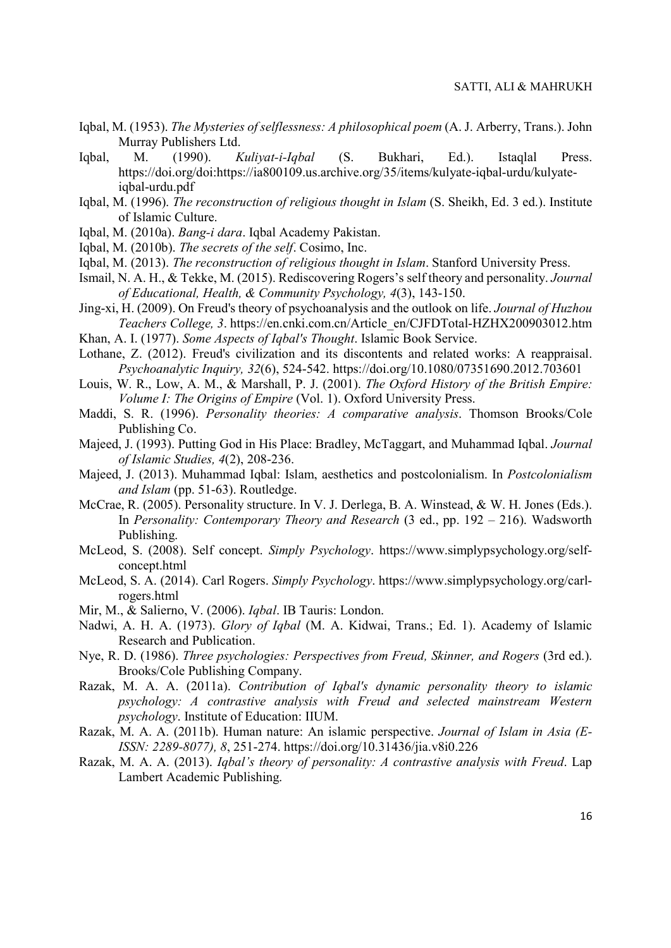- Iqbal, M. (1953). The Mysteries of selflessness: A philosophical poem (A. J. Arberry, Trans.). John Murray Publishers Ltd.
- Iqbal, M. (1990). Kuliyat-i-Iqbal (S. Bukhari, Ed.). Istaqlal Press. https://doi.org/doi:https://ia800109.us.archive.org/35/items/kulyate-iqbal-urdu/kulyateiqbal-urdu.pdf
- Iqbal, M. (1996). The reconstruction of religious thought in Islam (S. Sheikh, Ed. 3 ed.). Institute of Islamic Culture.
- Iqbal, M. (2010a). Bang-i dara. Iqbal Academy Pakistan.
- Iqbal, M. (2010b). The secrets of the self. Cosimo, Inc.
- Iqbal, M. (2013). The reconstruction of religious thought in Islam. Stanford University Press.
- Ismail, N. A. H., & Tekke, M. (2015). Rediscovering Rogers's self theory and personality. Journal of Educational, Health, & Community Psychology, 4(3), 143-150.
- Jing-xi, H. (2009). On Freud's theory of psychoanalysis and the outlook on life. Journal of Huzhou Teachers College, 3. https://en.cnki.com.cn/Article\_en/CJFDTotal-HZHX200903012.htm
- Khan, A. I. (1977). Some Aspects of Iqbal's Thought. Islamic Book Service.
- Lothane, Z. (2012). Freud's civilization and its discontents and related works: A reappraisal. Psychoanalytic Inquiry, 32(6), 524-542. https://doi.org/10.1080/07351690.2012.703601
- Louis, W. R., Low, A. M., & Marshall, P. J. (2001). The Oxford History of the British Empire: Volume I: The Origins of Empire (Vol. 1). Oxford University Press.
- Maddi, S. R. (1996). Personality theories: A comparative analysis. Thomson Brooks/Cole Publishing Co.
- Majeed, J. (1993). Putting God in His Place: Bradley, McTaggart, and Muhammad Iqbal. Journal of Islamic Studies, 4(2), 208-236.
- Majeed, J. (2013). Muhammad Iqbal: Islam, aesthetics and postcolonialism. In Postcolonialism and Islam (pp. 51-63). Routledge.
- McCrae, R. (2005). Personality structure. In V. J. Derlega, B. A. Winstead, & W. H. Jones (Eds.). In Personality: Contemporary Theory and Research (3 ed., pp. 192 – 216). Wadsworth Publishing.
- McLeod, S. (2008). Self concept. Simply Psychology. https://www.simplypsychology.org/selfconcept.html
- McLeod, S. A. (2014). Carl Rogers. Simply Psychology. https://www.simplypsychology.org/carlrogers.html
- Mir, M., & Salierno, V. (2006). Iqbal. IB Tauris: London.
- Nadwi, A. H. A. (1973). Glory of Iqbal (M. A. Kidwai, Trans.; Ed. 1). Academy of Islamic Research and Publication.
- Nye, R. D. (1986). Three psychologies: Perspectives from Freud, Skinner, and Rogers (3rd ed.). Brooks/Cole Publishing Company.
- Razak, M. A. A. (2011a). Contribution of Iqbal's dynamic personality theory to islamic psychology: A contrastive analysis with Freud and selected mainstream Western psychology. Institute of Education: IIUM.
- Razak, M. A. A. (2011b). Human nature: An islamic perspective. Journal of Islam in Asia (E-ISSN: 2289-8077), 8, 251-274. https://doi.org/10.31436/jia.v8i0.226
- Razak, M. A. A. (2013). Igbal's theory of personality: A contrastive analysis with Freud. Lap Lambert Academic Publishing.